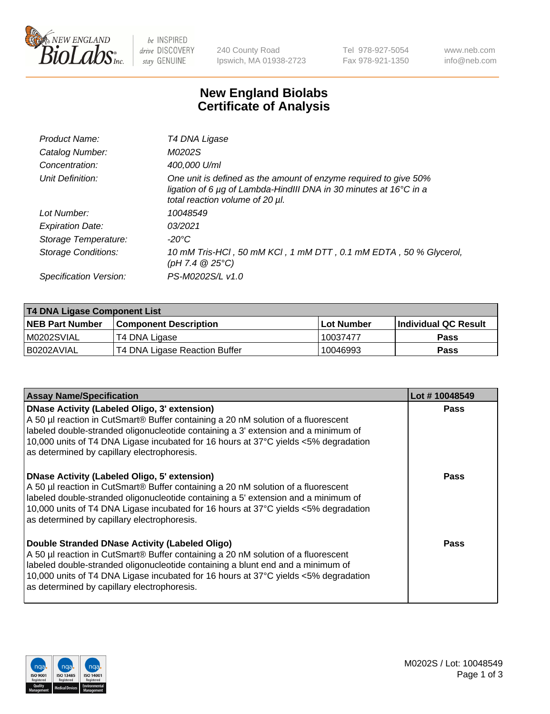

be INSPIRED drive DISCOVERY stay GENUINE

240 County Road Ipswich, MA 01938-2723 Tel 978-927-5054 Fax 978-921-1350 www.neb.com info@neb.com

## **New England Biolabs Certificate of Analysis**

| Product Name:           | T4 DNA Ligase                                                                                                                                                            |
|-------------------------|--------------------------------------------------------------------------------------------------------------------------------------------------------------------------|
| Catalog Number:         | M0202S                                                                                                                                                                   |
| Concentration:          | 400,000 U/ml                                                                                                                                                             |
| Unit Definition:        | One unit is defined as the amount of enzyme required to give 50%<br>ligation of 6 µg of Lambda-HindIII DNA in 30 minutes at 16°C in a<br>total reaction volume of 20 µl. |
| Lot Number:             | 10048549                                                                                                                                                                 |
| <b>Expiration Date:</b> | 03/2021                                                                                                                                                                  |
| Storage Temperature:    | $-20^{\circ}$ C                                                                                                                                                          |
| Storage Conditions:     | 10 mM Tris-HCl, 50 mM KCl, 1 mM DTT, 0.1 mM EDTA, 50 % Glycerol,<br>(pH 7.4 $@25°C$ )                                                                                    |
| Specification Version:  | PS-M0202S/L v1.0                                                                                                                                                         |
|                         |                                                                                                                                                                          |

| T4 DNA Ligase Component List |                               |                   |                      |  |
|------------------------------|-------------------------------|-------------------|----------------------|--|
| <b>NEB Part Number</b>       | <b>Component Description</b>  | <b>Lot Number</b> | Individual QC Result |  |
| IM0202SVIAL                  | T4 DNA Ligase                 | 10037477          | <b>Pass</b>          |  |
| I B0202AVIAL                 | T4 DNA Ligase Reaction Buffer | 10046993          | <b>Pass</b>          |  |

| <b>Assay Name/Specification</b>                                                                                                                                                                                                                                                                                                                                      | Lot #10048549 |
|----------------------------------------------------------------------------------------------------------------------------------------------------------------------------------------------------------------------------------------------------------------------------------------------------------------------------------------------------------------------|---------------|
| <b>DNase Activity (Labeled Oligo, 3' extension)</b><br>A 50 µl reaction in CutSmart® Buffer containing a 20 nM solution of a fluorescent<br>labeled double-stranded oligonucleotide containing a 3' extension and a minimum of<br>10,000 units of T4 DNA Ligase incubated for 16 hours at 37°C yields <5% degradation<br>as determined by capillary electrophoresis. | <b>Pass</b>   |
| <b>DNase Activity (Labeled Oligo, 5' extension)</b><br>A 50 µl reaction in CutSmart® Buffer containing a 20 nM solution of a fluorescent<br>labeled double-stranded oligonucleotide containing a 5' extension and a minimum of<br>10,000 units of T4 DNA Ligase incubated for 16 hours at 37°C yields <5% degradation<br>as determined by capillary electrophoresis. | Pass          |
| Double Stranded DNase Activity (Labeled Oligo)<br>A 50 µl reaction in CutSmart® Buffer containing a 20 nM solution of a fluorescent<br>labeled double-stranded oligonucleotide containing a blunt end and a minimum of<br>10,000 units of T4 DNA Ligase incubated for 16 hours at 37°C yields <5% degradation<br>as determined by capillary electrophoresis.         | Pass          |

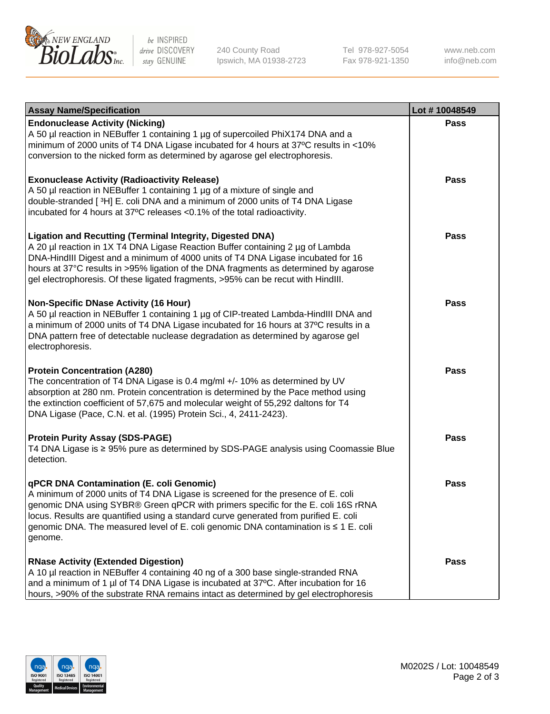

be INSPIRED drive DISCOVERY stay GENUINE

240 County Road Ipswich, MA 01938-2723 Tel 978-927-5054 Fax 978-921-1350

www.neb.com info@neb.com

| <b>Assay Name/Specification</b>                                                                                                                                                                                                                                                                                                                                                                                    | Lot #10048549 |
|--------------------------------------------------------------------------------------------------------------------------------------------------------------------------------------------------------------------------------------------------------------------------------------------------------------------------------------------------------------------------------------------------------------------|---------------|
| <b>Endonuclease Activity (Nicking)</b><br>A 50 µl reaction in NEBuffer 1 containing 1 µg of supercoiled PhiX174 DNA and a<br>minimum of 2000 units of T4 DNA Ligase incubated for 4 hours at 37°C results in <10%<br>conversion to the nicked form as determined by agarose gel electrophoresis.                                                                                                                   | <b>Pass</b>   |
| <b>Exonuclease Activity (Radioactivity Release)</b><br>A 50 µl reaction in NEBuffer 1 containing 1 µg of a mixture of single and<br>double-stranded [3H] E. coli DNA and a minimum of 2000 units of T4 DNA Ligase<br>incubated for 4 hours at 37°C releases <0.1% of the total radioactivity.                                                                                                                      | <b>Pass</b>   |
| <b>Ligation and Recutting (Terminal Integrity, Digested DNA)</b><br>A 20 µl reaction in 1X T4 DNA Ligase Reaction Buffer containing 2 µg of Lambda<br>DNA-HindIII Digest and a minimum of 4000 units of T4 DNA Ligase incubated for 16<br>hours at 37°C results in >95% ligation of the DNA fragments as determined by agarose<br>gel electrophoresis. Of these ligated fragments, >95% can be recut with HindIII. | <b>Pass</b>   |
| <b>Non-Specific DNase Activity (16 Hour)</b><br>A 50 µl reaction in NEBuffer 1 containing 1 µg of CIP-treated Lambda-HindIII DNA and<br>a minimum of 2000 units of T4 DNA Ligase incubated for 16 hours at 37°C results in a<br>DNA pattern free of detectable nuclease degradation as determined by agarose gel<br>electrophoresis.                                                                               | <b>Pass</b>   |
| <b>Protein Concentration (A280)</b><br>The concentration of T4 DNA Ligase is 0.4 mg/ml +/- 10% as determined by UV<br>absorption at 280 nm. Protein concentration is determined by the Pace method using<br>the extinction coefficient of 57,675 and molecular weight of 55,292 daltons for T4<br>DNA Ligase (Pace, C.N. et al. (1995) Protein Sci., 4, 2411-2423).                                                | <b>Pass</b>   |
| <b>Protein Purity Assay (SDS-PAGE)</b><br>T4 DNA Ligase is ≥ 95% pure as determined by SDS-PAGE analysis using Coomassie Blue<br>detection.                                                                                                                                                                                                                                                                        | <b>Pass</b>   |
| qPCR DNA Contamination (E. coli Genomic)<br>A minimum of 2000 units of T4 DNA Ligase is screened for the presence of E. coli<br>genomic DNA using SYBR® Green qPCR with primers specific for the E. coli 16S rRNA<br>locus. Results are quantified using a standard curve generated from purified E. coli<br>genomic DNA. The measured level of E. coli genomic DNA contamination is ≤ 1 E. coli<br>genome.        | Pass          |
| <b>RNase Activity (Extended Digestion)</b><br>A 10 µl reaction in NEBuffer 4 containing 40 ng of a 300 base single-stranded RNA<br>and a minimum of 1 µl of T4 DNA Ligase is incubated at 37°C. After incubation for 16<br>hours, >90% of the substrate RNA remains intact as determined by gel electrophoresis                                                                                                    | <b>Pass</b>   |